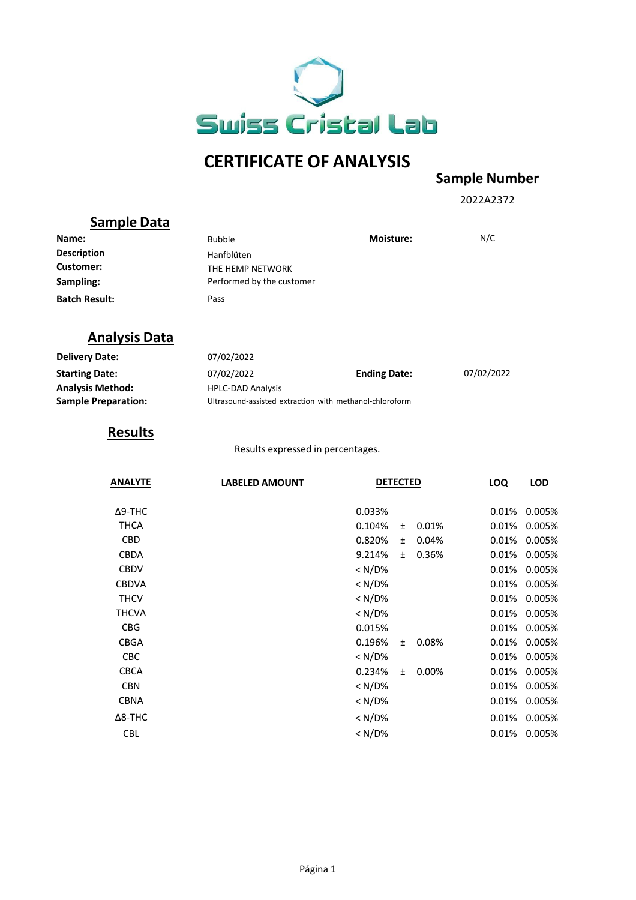

# **CERTIFICATE OF ANALYSIS**

### **Sample Number**

2022A2372

### **Sample Data**

| Name:                | <b>Bubble</b>             | <b>Moisture:</b> | N/C |
|----------------------|---------------------------|------------------|-----|
| <b>Description</b>   | Hanfblüten                |                  |     |
| Customer:            | THE HEMP NETWORK          |                  |     |
| Sampling:            | Performed by the customer |                  |     |
| <b>Batch Result:</b> | Pass                      |                  |     |

## **Analysis Data**

| <b>Delivery Date:</b>      | 07/02/2022                                              |                     |            |
|----------------------------|---------------------------------------------------------|---------------------|------------|
| <b>Starting Date:</b>      | 07/02/2022                                              | <b>Ending Date:</b> | 07/02/2022 |
| <b>Analysis Method:</b>    | <b>HPLC-DAD Analysis</b>                                |                     |            |
| <b>Sample Preparation:</b> | Ultrasound-assisted extraction with methanol-chloroform |                     |            |

### **Results**

Results expressed in percentages.

| <b>ANALYTE</b> | <b>LABELED AMOUNT</b> | <b>DETECTED</b> |           |          | LOQ   | LOD    |
|----------------|-----------------------|-----------------|-----------|----------|-------|--------|
|                |                       |                 |           |          |       |        |
| $\Delta$ 9-THC |                       | 0.033%          |           |          | 0.01% | 0.005% |
| <b>THCA</b>    |                       | 0.104%          | $\pm$     | 0.01%    | 0.01% | 0.005% |
| <b>CBD</b>     |                       | 0.820%          | $\pm$     | 0.04%    | 0.01% | 0.005% |
| <b>CBDA</b>    |                       | 9.214%          | $\ddot{}$ | 0.36%    | 0.01% | 0.005% |
| <b>CBDV</b>    |                       | $< N/D\%$       |           |          | 0.01% | 0.005% |
| <b>CBDVA</b>   |                       | < N/D%          |           |          | 0.01% | 0.005% |
| <b>THCV</b>    |                       | < N/D%          |           |          | 0.01% | 0.005% |
| THCVA          |                       | $< N/D\%$       |           |          | 0.01% | 0.005% |
| <b>CBG</b>     |                       | 0.015%          |           |          | 0.01% | 0.005% |
| <b>CBGA</b>    |                       | 0.196%          | $\pm$     | 0.08%    | 0.01% | 0.005% |
| <b>CBC</b>     |                       | < N/D%          |           |          | 0.01% | 0.005% |
| <b>CBCA</b>    |                       | 0.234%          | $\ddot{}$ | $0.00\%$ | 0.01% | 0.005% |
| <b>CBN</b>     |                       | < N/D%          |           |          | 0.01% | 0.005% |
| <b>CBNA</b>    |                       | $< N/D\%$       |           |          | 0.01% | 0.005% |
| $\Delta$ 8-THC |                       | < N/D%          |           |          | 0.01% | 0.005% |
| <b>CBL</b>     |                       | $< N/D\%$       |           |          | 0.01% | 0.005% |